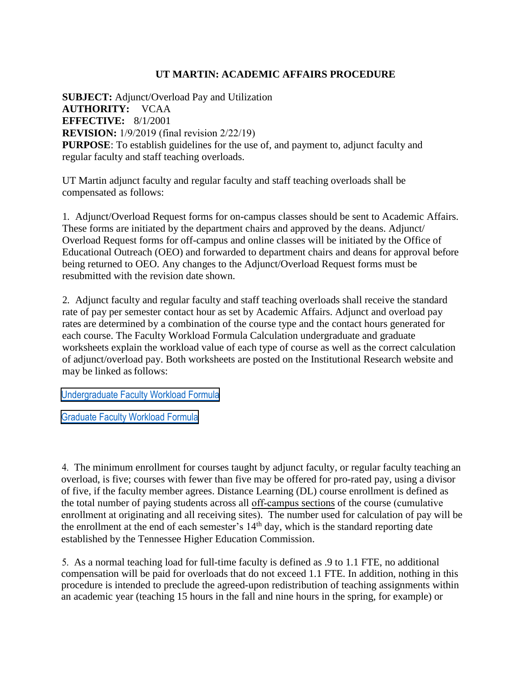## **UT MARTIN: ACADEMIC AFFAIRS PROCEDURE**

**SUBJECT:** Adjunct/Overload Pay and Utilization **AUTHORITY:** VCAA **EFFECTIVE:** 8/1/2001 **REVISION:** 1/9/2019 (final revision 2/22/19) **PURPOSE**: To establish guidelines for the use of, and payment to, adjunct faculty and regular faculty and staff teaching overloads.

UT Martin adjunct faculty and regular faculty and staff teaching overloads shall be compensated as follows:

1. Adjunct/Overload Request forms for on-campus classes should be sent to Academic Affairs. These forms are initiated by the department chairs and approved by the deans. Adjunct/ Overload Request forms for off-campus and online classes will be initiated by the Office of Educational Outreach (OEO) and forwarded to department chairs and deans for approval before being returned to OEO. Any changes to the Adjunct/Overload Request forms must be resubmitted with the revision date shown.

2. Adjunct faculty and regular faculty and staff teaching overloads shall receive the standard rate of pay per semester contact hour as set by Academic Affairs. Adjunct and overload pay rates are determined by a combination of the course type and the contact hours generated for each course. The Faculty Workload Formula Calculation undergraduate and graduate worksheets explain the workload value of each type of course as well as the correct calculation of adjunct/overload pay. Both worksheets are posted on the Institutional Research website and may be linked as follows:

[Undergraduate Faculty Workload Formula](http://www.utm.edu/departments/irp/_pdfs/Faculty%20Workload%20Formula%20Calculations%20%20Un)

[Graduate Faculty Workload Formula](http://www.utm.edu/departments/irp/_pdfs/Faculty%20Workload%20Formula%20Calculations%20%20graduate%2007012017%20revised.pdf)

4. [The minimum enrollment for courses taught by adjunct faculty, or regular faculty teaching an](http://www.utm.edu/departments/irp/_pdfs/Faculty%20Workload%20Formula%20Calculations%20%20Graduate%20062015.pdf) [overload, is five;](http://www.utm.edu/departments/irp/_pdfs/Faculty%20Workload%20Formula%20Calculations%20%20Graduate%20062015.pdf) courses with fewer than five may be offered for pro-rated pay, using a divisor of five, if the faculty member agrees. Distance Learning (DL) course enrollment is defined as the total number of paying students across all off-campus sections of the course (cumulative enrollment at originating and all receiving sites). The number used for calculation of pay will be the enrollment at the end of each semester's  $14<sup>th</sup>$  day, which is the standard reporting date established by the Tennessee Higher Education Commission.

5. As a normal teaching load for full-time faculty is defined as .9 to 1.1 FTE, no additional compensation will be paid for overloads that do not exceed 1.1 FTE. In addition, nothing in this procedure is intended to preclude the agreed-upon redistribution of teaching assignments within an academic year (teaching 15 hours in the fall and nine hours in the spring, for example) or